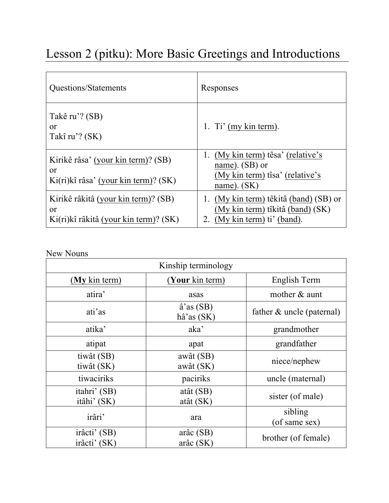## Lesson 2 (pitku): More Basic Greetings and Introductions

| Questions/Statements                                                                          | Responses                                                                                                                 |
|-----------------------------------------------------------------------------------------------|---------------------------------------------------------------------------------------------------------------------------|
| Takê ru'? (SB)<br>or<br>Takî ru'? (SK)                                                        | 1. Ti' (my kin term).                                                                                                     |
| Kirikê râsa' (your kin term)? (SB)<br>or<br>Ki(ri)kî râsa' (your kin term)? (SK)              | (My kin term) têsa' (relative's<br>name). (SB) or<br>(My kin term) tîsa' (relative's<br>name). $(SK)$                     |
| Kirikê râkitâ (your kin term)? (SB)<br><sub>or</sub><br>Ki(ri)kî râkitâ (your kin term)? (SK) | 1. (My kin term) têkitâ (band) (SB) or<br>(My kin term) tîkitâ (band) (SK)<br>(My kin term) ti' (band).<br>$\overline{2}$ |

New Nouns

| Kinship terminology          |                                           |                              |  |
|------------------------------|-------------------------------------------|------------------------------|--|
| (My kin term)                | (Your kin term)                           | English Term                 |  |
| atira'                       | asas                                      | mother & aunt                |  |
| ati'as                       | $\hat{a}$ 'as (SB)<br>$h\hat{a}$ 'as (SK) | father $\&$ uncle (paternal) |  |
| atika'                       | aka <sup>'</sup>                          | grandmother                  |  |
| atipat                       | apat                                      | grandfather                  |  |
| tiwât (SB)<br>tiwât (SK)     | awât (SB)<br>awât (SK)                    | niece/nephew                 |  |
| tiwaciriks                   | paciriks                                  | uncle (maternal)             |  |
| itahri' (SB)<br>itâhi' (SK)  | atât (SB)<br>atât (SK)                    | sister (of male)             |  |
| irâri'                       | ara                                       | sibling<br>(of same sex)     |  |
| irâcti' (SB)<br>irâcti' (SK) | $ar\hat{a}c(SB)$<br>$ar\hat{a}c(SK)$      | brother (of female)          |  |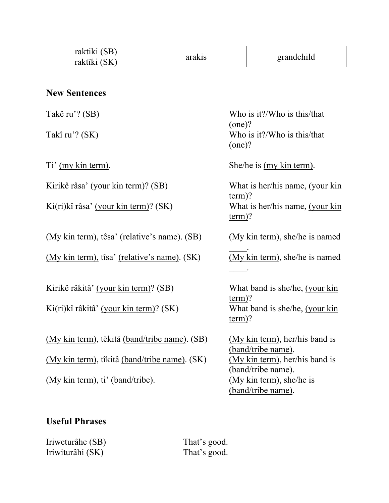| raktiki (SB)<br>raktîki (SK)                  | arakis |           | grandchild                      |
|-----------------------------------------------|--------|-----------|---------------------------------|
|                                               |        |           |                                 |
|                                               |        |           |                                 |
| <b>New Sentences</b>                          |        |           |                                 |
| Takê ru'? (SB)                                |        |           | Who is it?/Who is this/that     |
|                                               |        | $(one)$ ? |                                 |
| Takî ru'? (SK)                                |        |           | Who is it?/Who is this/that     |
|                                               |        | $(one)$ ? |                                 |
| Ti' (my kin term).                            |        |           | She/he is (my kin term).        |
| Kirikê râsa' (your kin term)? (SB)            |        |           | What is her/his name, (your kin |
|                                               |        | $term$ ?  |                                 |
| Ki(ri)kî râsa' (your kin term)? (SK)          |        |           | What is her/his name, (your kin |
|                                               |        | $term$ ?  |                                 |
| (My kin term), têsa' (relative's name). (SB)  |        |           | (My kin term), she/he is named  |
| (My kin term), tîsa' (relative's name). (SK)  |        |           | (My kin term), she/he is named  |
|                                               |        |           |                                 |
|                                               |        |           |                                 |
| Kirikê râkitâ' (your kin term)? (SB)          |        | $term$ ?  | What band is she/he, (your kin  |
| Ki(ri)kî râkitâ' (your kin term)? (SK)        |        |           | What band is she/he, (your kin  |
|                                               |        | $term$ ?  |                                 |
| (My kin term), têkitâ (band/tribe name). (SB) |        |           | (My kin term), her/his band is  |
|                                               |        |           | (band/tribe name).              |
| (My kin term), tîkitâ (band/tribe name). (SK) |        |           | (My kin term), her/his band is  |
|                                               |        |           | (band/tribe name).              |
| (My kin term), ti' (band/tribe).              |        |           | (My kin term), she/he is        |
|                                               |        |           | (band/tribe name).              |
|                                               |        |           |                                 |

## **Useful Phrases**

Iriweturâhe (SB) That's good. Iriwiturâhi (SK) That's good.